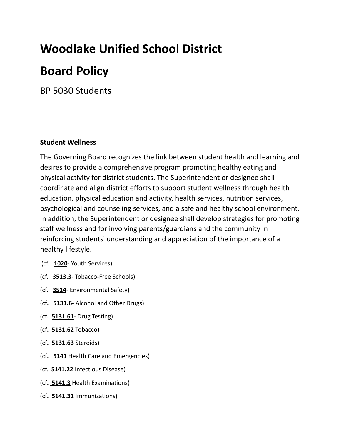# **Woodlake Unified School District Board Policy**

BP 5030 Students

#### **Student Wellness**

The Governing Board recognizes the link between student health and learning and desires to provide a comprehensive program promoting healthy eating and physical activity for district students. The Superintendent or designee shall coordinate and align district efforts to support student wellness through health education, physical education and activity, health services, nutrition services, psychological and counseling services, and a safe and healthy school environment. In addition, the Superintendent or designee shall develop strategies for promoting staff wellness and for involving parents/guardians and the community in reinforcing students' understanding and appreciation of the importance of a healthy lifestyle.

- (cf. **1020** Youth Services)
- (cf. **3513.3** Tobacco-Free Schools)
- (cf. **3514** Environmental Safety)
- (cf**. 5131.6** Alcohol and Other Drugs)
- (cf**. 5131.61** Drug Testing)
- (cf**. 5131.62** Tobacco)
- (cf**. 5131.63** Steroids)
- (cf**. 5141** Health Care and Emergencies)
- (cf. **5141.22** Infectious Disease)
- (cf**. 5141.3** Health Examinations)
- (cf**. 5141.31** Immunizations)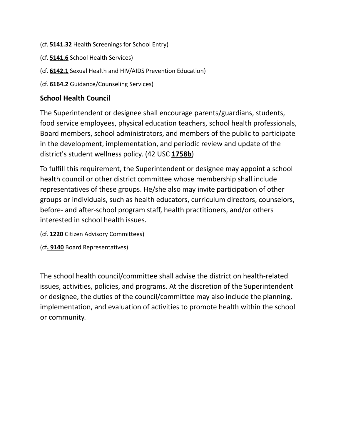- (cf. **5141.32** Health Screenings for School Entry)
- (cf. **5141.6** School Health Services)
- (cf. **6142.1** Sexual Health and HIV/AIDS Prevention Education)
- (cf. **6164.2** Guidance/Counseling Services)

#### **School Health Council**

The Superintendent or designee shall encourage parents/guardians, students, food service employees, physical education teachers, school health professionals, Board members, school administrators, and members of the public to participate in the development, implementation, and periodic review and update of the district's student wellness policy. (42 USC **1758b**)

To fulfill this requirement, the Superintendent or designee may appoint a school health council or other district committee whose membership shall include representatives of these groups. He/she also may invite participation of other groups or individuals, such as health educators, curriculum directors, counselors, before- and after-school program staff, health practitioners, and/or others interested in school health issues.

- (cf. **1220** Citizen Advisory Committees)
- (cf**. 9140** Board Representatives)

The school health council/committee shall advise the district on health-related issues, activities, policies, and programs. At the discretion of the Superintendent or designee, the duties of the council/committee may also include the planning, implementation, and evaluation of activities to promote health within the school or community.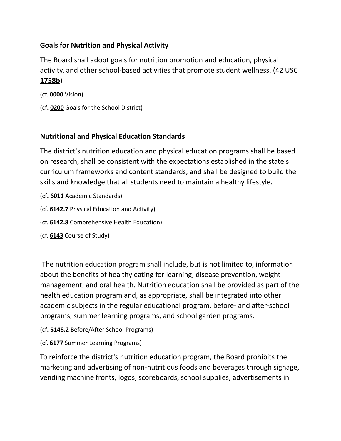### **Goals for Nutrition and Physical Activity**

The Board shall adopt goals for nutrition promotion and education, physical activity, and other school-based activities that promote student wellness. (42 USC **1758b**)

(cf. **0000** Vision)

(cf**. 0200** Goals for the School District)

#### **Nutritional and Physical Education Standards**

The district's nutrition education and physical education programs shall be based on research, shall be consistent with the expectations established in the state's curriculum frameworks and content standards, and shall be designed to build the skills and knowledge that all students need to maintain a healthy lifestyle.

- (cf**. 6011** Academic Standards)
- (cf. **6142.7** Physical Education and Activity)
- (cf. **6142.8** Comprehensive Health Education)
- (cf. **6143** Course of Study)

The nutrition education program shall include, but is not limited to, information about the benefits of healthy eating for learning, disease prevention, weight management, and oral health. Nutrition education shall be provided as part of the health education program and, as appropriate, shall be integrated into other academic subjects in the regular educational program, before- and after-school programs, summer learning programs, and school garden programs.

- (cf**. 5148.2** Before/After School Programs)
- (cf. **6177** Summer Learning Programs)

To reinforce the district's nutrition education program, the Board prohibits the marketing and advertising of non-nutritious foods and beverages through signage, vending machine fronts, logos, scoreboards, school supplies, advertisements in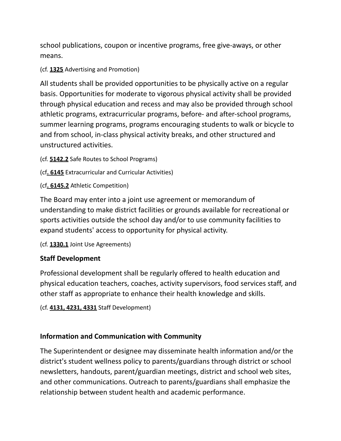school publications, coupon or incentive programs, free give-aways, or other means.

(cf. **1325** Advertising and Promotion)

All students shall be provided opportunities to be physically active on a regular basis. Opportunities for moderate to vigorous physical activity shall be provided through physical education and recess and may also be provided through school athletic programs, extracurricular programs, before- and after-school programs, summer learning programs, programs encouraging students to walk or bicycle to and from school, in-class physical activity breaks, and other structured and unstructured activities.

(cf. **5142.2** Safe Routes to School Programs)

(cf**. 6145** Extracurricular and Curricular Activities)

(cf**. 6145.2** Athletic Competition)

The Board may enter into a joint use agreement or memorandum of understanding to make district facilities or grounds available for recreational or sports activities outside the school day and/or to use community facilities to expand students' access to opportunity for physical activity.

(cf. **1330.1** Joint Use Agreements)

#### **Staff Development**

Professional development shall be regularly offered to health education and physical education teachers, coaches, activity supervisors, food services staff, and other staff as appropriate to enhance their health knowledge and skills.

```
(cf. 4131, 4231, 4331 Staff Development)
```
#### **Information and Communication with Community**

The Superintendent or designee may disseminate health information and/or the district's student wellness policy to parents/guardians through district or school newsletters, handouts, parent/guardian meetings, district and school web sites, and other communications. Outreach to parents/guardians shall emphasize the relationship between student health and academic performance.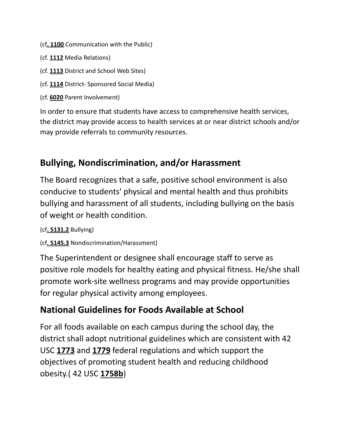- (cf**. 1100** Communication with the Public)
- (cf. **1112** Media Relations)
- (cf. **1113** District and School Web Sites)
- (cf. **1114** District- Sponsored Social Media)
- (cf. **6020** Parent Involvement)

In order to ensure that students have access to comprehensive health services, the district may provide access to health services at or near district schools and/or may provide referrals to community resources.

### **Bullying, Nondiscrimination, and/or Harassment**

The Board recognizes that a safe, positive school environment is also conducive to students' physical and mental health and thus prohibits bullying and harassment of all students, including bullying on the basis of weight or health condition.

(cf**. 5131.2** Bullying)

(cf**. 5145.3** Nondiscrimination/Harassment)

The Superintendent or designee shall encourage staff to serve as positive role models for healthy eating and physical fitness. He/she shall promote work-site wellness programs and may provide opportunities for regular physical activity among employees.

### **National Guidelines for Foods Available at School**

For all foods available on each campus during the school day, the district shall adopt nutritional guidelines which are consistent with 42 USC **1773** and **1779** federal regulations and which support the objectives of promoting student health and reducing childhood obesity.( 42 USC **1758b**)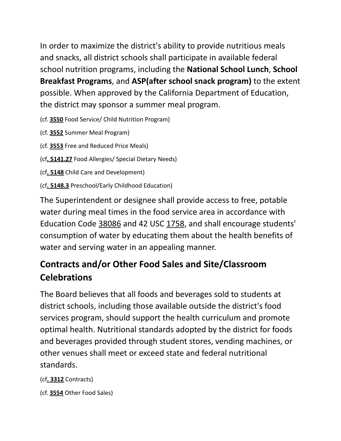In order to maximize the district's ability to provide nutritious meals and snacks, all district schools shall participate in available federal school nutrition programs, including the **National School Lunch**, **School Breakfast Programs**, and **ASP(after school snack program)** to the extent possible. When approved by the California Department of Education, the district may sponsor a summer meal program.

(cf. **3550** Food Service/ Child Nutrition Program)

(cf. **3552** Summer Meal Program)

(cf. **3553** Free and Reduced Price Meals)

(cf**. 5141.27** Food Allergies/ Special Dietary Needs)

(cf**. 5148** Child Care and Development)

(cf**. 5148.3** Preschool/Early Childhood Education)

The Superintendent or designee shall provide access to free, potable water during meal times in the food service area in accordance with Education Code 38086 and 42 USC 1758, and shall encourage students' consumption of water by educating them about the health benefits of water and serving water in an appealing manner.

## **Contracts and/or Other Food Sales and Site/Classroom Celebrations**

The Board believes that all foods and beverages sold to students at district schools, including those available outside the district's food services program, should support the health curriculum and promote optimal health. Nutritional standards adopted by the district for foods and beverages provided through student stores, vending machines, or other venues shall meet or exceed state and federal nutritional standards.

(cf**. 3312** Contracts)

(cf. **3554** Other Food Sales)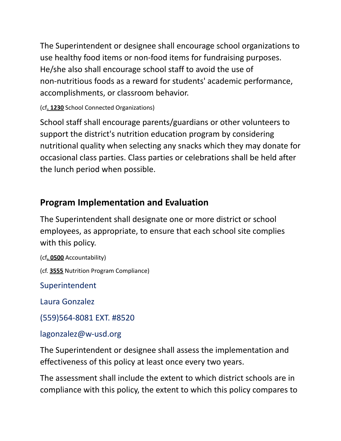The Superintendent or designee shall encourage school organizations to use healthy food items or non-food items for fundraising purposes. He/she also shall encourage school staff to avoid the use of non-nutritious foods as a reward for students' academic performance, accomplishments, or classroom behavior.

(cf**. 1230** School Connected Organizations)

School staff shall encourage parents/guardians or other volunteers to support the district's nutrition education program by considering nutritional quality when selecting any snacks which they may donate for occasional class parties. Class parties or celebrations shall be held after the lunch period when possible.

### **Program Implementation and Evaluation**

The Superintendent shall designate one or more district or school employees, as appropriate, to ensure that each school site complies with this policy.

(cf**. 0500** Accountability)

(cf. **3555** Nutrition Program Compliance)

Superintendent

Laura Gonzalez

(559)564-8081 EXT. #8520

lagonzalez@w-usd.org

The Superintendent or designee shall assess the implementation and effectiveness of this policy at least once every two years.

The assessment shall include the extent to which district schools are in compliance with this policy, the extent to which this policy compares to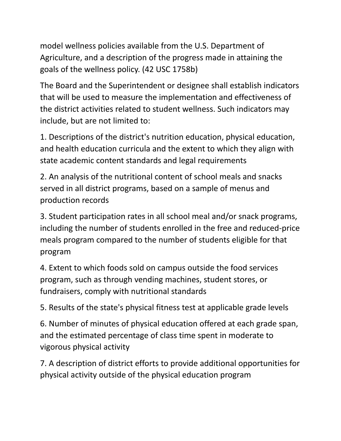model wellness policies available from the U.S. Department of Agriculture, and a description of the progress made in attaining the goals of the wellness policy. (42 USC 1758b)

The Board and the Superintendent or designee shall establish indicators that will be used to measure the implementation and effectiveness of the district activities related to student wellness. Such indicators may include, but are not limited to:

1. Descriptions of the district's nutrition education, physical education, and health education curricula and the extent to which they align with state academic content standards and legal requirements

2. An analysis of the nutritional content of school meals and snacks served in all district programs, based on a sample of menus and production records

3. Student participation rates in all school meal and/or snack programs, including the number of students enrolled in the free and reduced-price meals program compared to the number of students eligible for that program

4. Extent to which foods sold on campus outside the food services program, such as through vending machines, student stores, or fundraisers, comply with nutritional standards

5. Results of the state's physical fitness test at applicable grade levels

6. Number of minutes of physical education offered at each grade span, and the estimated percentage of class time spent in moderate to vigorous physical activity

7. A description of district efforts to provide additional opportunities for physical activity outside of the physical education program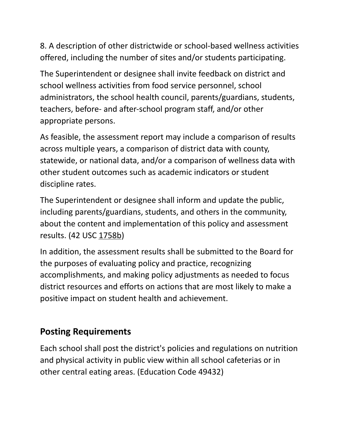8. A description of other districtwide or school-based wellness activities offered, including the number of sites and/or students participating.

The Superintendent or designee shall invite feedback on district and school wellness activities from food service personnel, school administrators, the school health council, parents/guardians, students, teachers, before- and after-school program staff, and/or other appropriate persons.

As feasible, the assessment report may include a comparison of results across multiple years, a comparison of district data with county, statewide, or national data, and/or a comparison of wellness data with other student outcomes such as academic indicators or student discipline rates.

The Superintendent or designee shall inform and update the public, including parents/guardians, students, and others in the community, about the content and implementation of this policy and assessment results. (42 USC 1758b)

In addition, the assessment results shall be submitted to the Board for the purposes of evaluating policy and practice, recognizing accomplishments, and making policy adjustments as needed to focus district resources and efforts on actions that are most likely to make a positive impact on student health and achievement.

### **Posting Requirements**

Each school shall post the district's policies and regulations on nutrition and physical activity in public view within all school cafeterias or in other central eating areas. (Education Code 49432)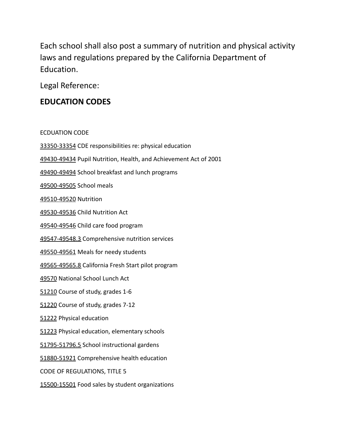Each school shall also post a summary of nutrition and physical activity laws and regulations prepared by the California Department of Education.

Legal Reference:

### **EDUCATION CODES**

ECDUATION CODE

33350-33354 CDE responsibilities re: physical education 49430-49434 Pupil Nutrition, Health, and Achievement Act of 2001 49490-49494 School breakfast and lunch programs 49500-49505 School meals 49510-49520 Nutrition 49530-49536 Child Nutrition Act 49540-49546 Child care food program 49547-49548.3 Comprehensive nutrition services 49550-49561 Meals for needy students 49565-49565.8 California Fresh Start pilot program 49570 National School Lunch Act 51210 Course of study, grades 1-6 51220 Course of study, grades 7-12 51222 Physical education 51223 Physical education, elementary schools 51795-51796.5 School instructional gardens 51880-51921 Comprehensive health education CODE OF REGULATIONS, TITLE 5 15500-15501 Food sales by student organizations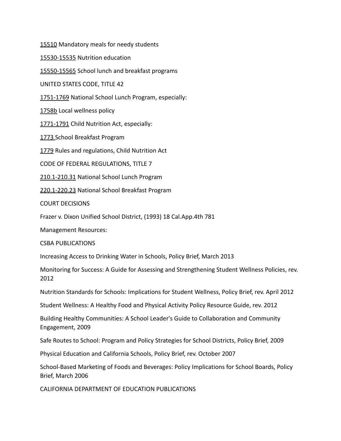15510 Mandatory meals for needy students

15530-15535 Nutrition education

15550-15565 School lunch and breakfast programs

UNITED STATES CODE, TITLE 42

1751-1769 National School Lunch Program, especially:

1758b Local wellness policy

1771-1791 Child Nutrition Act, especially:

1773 School Breakfast Program

1779 Rules and regulations, Child Nutrition Act

CODE OF FEDERAL REGULATIONS, TITLE 7

210.1-210.31 National School Lunch Program

220.1-220.23 National School Breakfast Program

COURT DECISIONS

Frazer v. Dixon Unified School District, (1993) 18 Cal.App.4th 781

Management Resources:

CSBA PUBLICATIONS

Increasing Access to Drinking Water in Schools, Policy Brief, March 2013

Monitoring for Success: A Guide for Assessing and Strengthening Student Wellness Policies, rev. 2012

Nutrition Standards for Schools: Implications for Student Wellness, Policy Brief, rev. April 2012

Student Wellness: A Healthy Food and Physical Activity Policy Resource Guide, rev. 2012

Building Healthy Communities: A School Leader's Guide to Collaboration and Community Engagement, 2009

Safe Routes to School: Program and Policy Strategies for School Districts, Policy Brief, 2009

Physical Education and California Schools, Policy Brief, rev. October 2007

School-Based Marketing of Foods and Beverages: Policy Implications for School Boards, Policy Brief, March 2006

CALIFORNIA DEPARTMENT OF EDUCATION PUBLICATIONS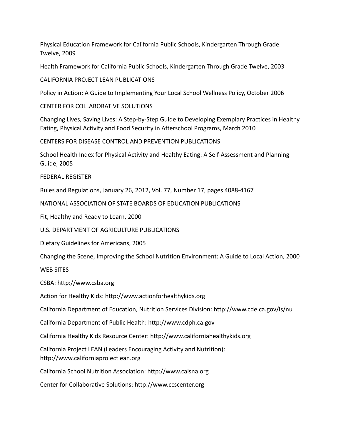Physical Education Framework for California Public Schools, Kindergarten Through Grade Twelve, 2009

Health Framework for California Public Schools, Kindergarten Through Grade Twelve, 2003

CALIFORNIA PROJECT LEAN PUBLICATIONS

Policy in Action: A Guide to Implementing Your Local School Wellness Policy, October 2006

CENTER FOR COLLABORATIVE SOLUTIONS

Changing Lives, Saving Lives: A Step-by-Step Guide to Developing Exemplary Practices in Healthy Eating, Physical Activity and Food Security in Afterschool Programs, March 2010

CENTERS FOR DISEASE CONTROL AND PREVENTION PUBLICATIONS

School Health Index for Physical Activity and Healthy Eating: A Self-Assessment and Planning Guide, 2005

FEDERAL REGISTER

Rules and Regulations, January 26, 2012, Vol. 77, Number 17, pages 4088-4167

NATIONAL ASSOCIATION OF STATE BOARDS OF EDUCATION PUBLICATIONS

Fit, Healthy and Ready to Learn, 2000

U.S. DEPARTMENT OF AGRICULTURE PUBLICATIONS

Dietary Guidelines for Americans, 2005

Changing the Scene, Improving the School Nutrition Environment: A Guide to Local Action, 2000

WEB SITES

CSBA: http://www.csba.org

Action for Healthy Kids: http://www.actionforhealthykids.org

California Department of Education, Nutrition Services Division: http://www.cde.ca.gov/ls/nu

California Department of Public Health: http://www.cdph.ca.gov

California Healthy Kids Resource Center: http://www.californiahealthykids.org

California Project LEAN (Leaders Encouraging Activity and Nutrition): http://www.californiaprojectlean.org

California School Nutrition Association: http://www.calsna.org

Center for Collaborative Solutions: http://www.ccscenter.org